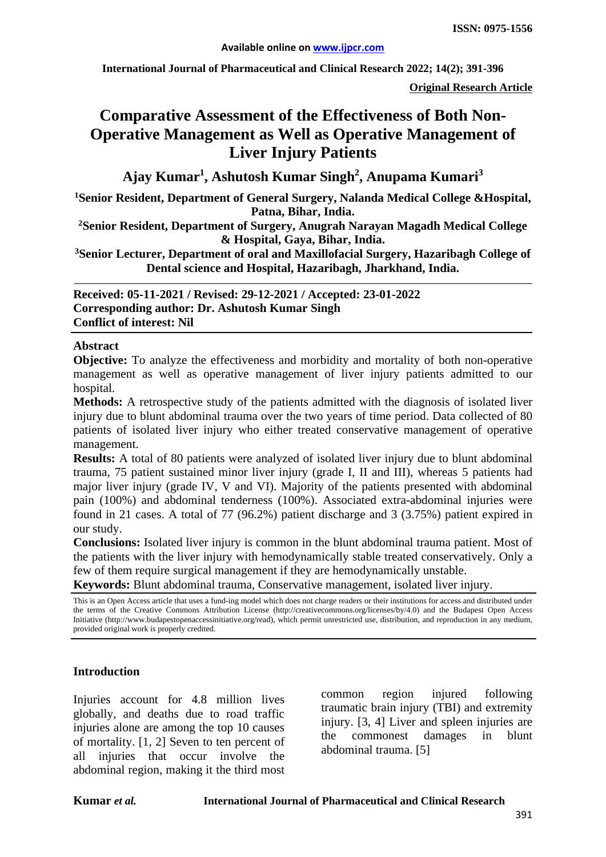**International Journal of Pharmaceutical and Clinical Research 2022; 14(2); 391-396**

**Original Research Article**

# **Comparative Assessment of the Effectiveness of Both Non-Operative Management as Well as Operative Management of Liver Injury Patients**

**Ajay Kumar1 , Ashutosh Kumar Singh<sup>2</sup> , Anupama Kumari<sup>3</sup>**

<sup>1</sup> Senior Resident, Department of General Surgery, Nalanda Medical College & Hospital, **Patna, Bihar, India.**

**2Senior Resident, Department of Surgery, Anugrah Narayan Magadh Medical College & Hospital, Gaya, Bihar, India.**

**3Senior Lecturer, Department of oral and Maxillofacial Surgery, Hazaribagh College of Dental science and Hospital, Hazaribagh, Jharkhand, India.**

**Received: 05-11-2021 / Revised: 29-12-2021 / Accepted: 23-01-2022 Corresponding author: Dr. Ashutosh Kumar Singh Conflict of interest: Nil**

#### **Abstract**

**Objective:** To analyze the effectiveness and morbidity and mortality of both non-operative management as well as operative management of liver injury patients admitted to our hospital.

**Methods:** A retrospective study of the patients admitted with the diagnosis of isolated liver injury due to blunt abdominal trauma over the two years of time period. Data collected of 80 patients of isolated liver injury who either treated conservative management of operative management.

**Results:** A total of 80 patients were analyzed of isolated liver injury due to blunt abdominal trauma, 75 patient sustained minor liver injury (grade I, II and III), whereas 5 patients had major liver injury (grade IV, V and VI). Majority of the patients presented with abdominal pain (100%) and abdominal tenderness (100%). Associated extra-abdominal injuries were found in 21 cases. A total of 77 (96.2%) patient discharge and 3 (3.75%) patient expired in our study.

**Conclusions:** Isolated liver injury is common in the blunt abdominal trauma patient. Most of the patients with the liver injury with hemodynamically stable treated conservatively. Only a few of them require surgical management if they are hemodynamically unstable.

**Keywords:** Blunt abdominal trauma, Conservative management, isolated liver injury.

This is an Open Access article that uses a fund-ing model which does not charge readers or their institutions for access and distributed under the terms of the Creative Commons Attribution License (http://creativecommons.org/licenses/by/4.0) and the Budapest Open Access Initiative (http://www.budapestopenaccessinitiative.org/read), which permit unrestricted use, distribution, and reproduction in any medium, provided original work is properly credited.

#### **Introduction**

Injuries account for 4.8 million lives globally, and deaths due to road traffic injuries alone are among the top 10 causes of mortality. [1, 2] Seven to ten percent of all injuries that occur involve the abdominal region, making it the third most common region injured following traumatic brain injury (TBI) and extremity injury. [3, 4] Liver and spleen injuries are the commonest damages in blunt abdominal trauma. [5]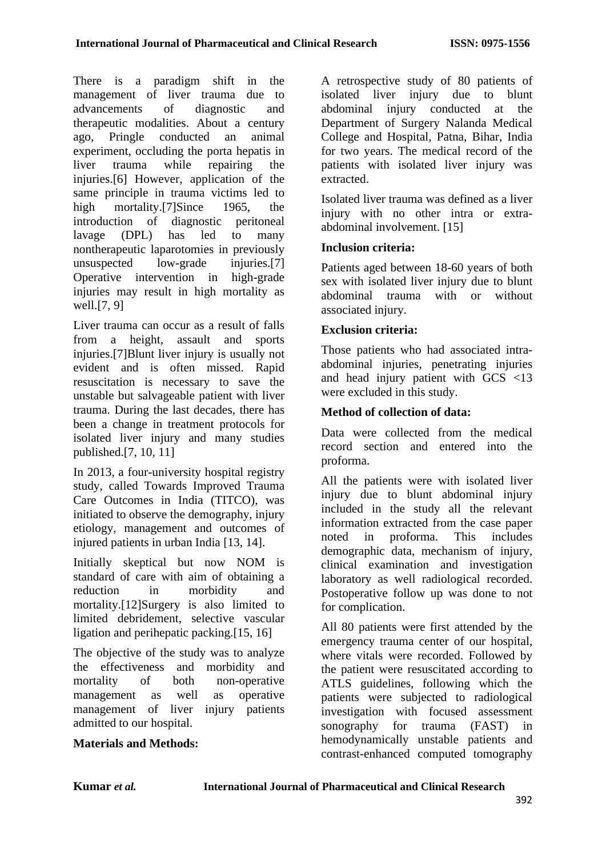There is a paradigm shift in the management of liver trauma due to advancements of diagnostic and therapeutic modalities. About a century ago, Pringle conducted an animal experiment, occluding the porta hepatis in liver trauma while repairing the injuries.[6] However, application of the same principle in trauma victims led to high mortality.<sup>[7]</sup>Since 1965, the introduction of diagnostic peritoneal lavage (DPL) has led to many nontherapeutic laparotomies in previously unsuspected low-grade injuries.[7] Operative intervention in high-grade injuries may result in high mortality as well.[7, 9]

Liver trauma can occur as a result of falls from a height, assault and sports injuries.[7]Blunt liver injury is usually not evident and is often missed. Rapid resuscitation is necessary to save the unstable but salvageable patient with liver trauma. During the last decades, there has been a change in treatment protocols for isolated liver injury and many studies published.[7, 10, 11]

In 2013, a four-university hospital registry study, called Towards Improved Trauma Care Outcomes in India (TITCO), was initiated to observe the demography, injury etiology, management and outcomes of injured patients in urban India [13, 14].

Initially skeptical but now NOM is standard of care with aim of obtaining a reduction in morbidity and mortality.[12]Surgery is also limited to limited debridement, selective vascular ligation and perihepatic packing.[15, 16]

The objective of the study was to analyze the effectiveness and morbidity and mortality of both non-operative<br>management as well as operative management as well as management of liver injury patients admitted to our hospital.

### **Materials and Methods:**

A retrospective study of 80 patients of isolated liver injury due to blunt abdominal injury conducted at the Department of Surgery Nalanda Medical College and Hospital, Patna, Bihar, India for two years. The medical record of the patients with isolated liver injury was extracted.

Isolated liver trauma was defined as a liver injury with no other intra or extraabdominal involvement. [15]

#### **Inclusion criteria:**

Patients aged between 18-60 years of both sex with isolated liver injury due to blunt abdominal trauma with or without associated injury.

### **Exclusion criteria:**

Those patients who had associated intraabdominal injuries, penetrating injuries and head injury patient with GCS <13 were excluded in this study.

### **Method of collection of data:**

Data were collected from the medical record section and entered into the proforma.

All the patients were with isolated liver injury due to blunt abdominal injury included in the study all the relevant information extracted from the case paper noted in proforma. This includes demographic data, mechanism of injury, clinical examination and investigation laboratory as well radiological recorded. Postoperative follow up was done to not for complication.

All 80 patients were first attended by the emergency trauma center of our hospital, where vitals were recorded. Followed by the patient were resuscitated according to ATLS guidelines, following which the patients were subjected to radiological investigation with focused assessment sonography for trauma (FAST) in hemodynamically unstable patients and contrast-enhanced computed tomography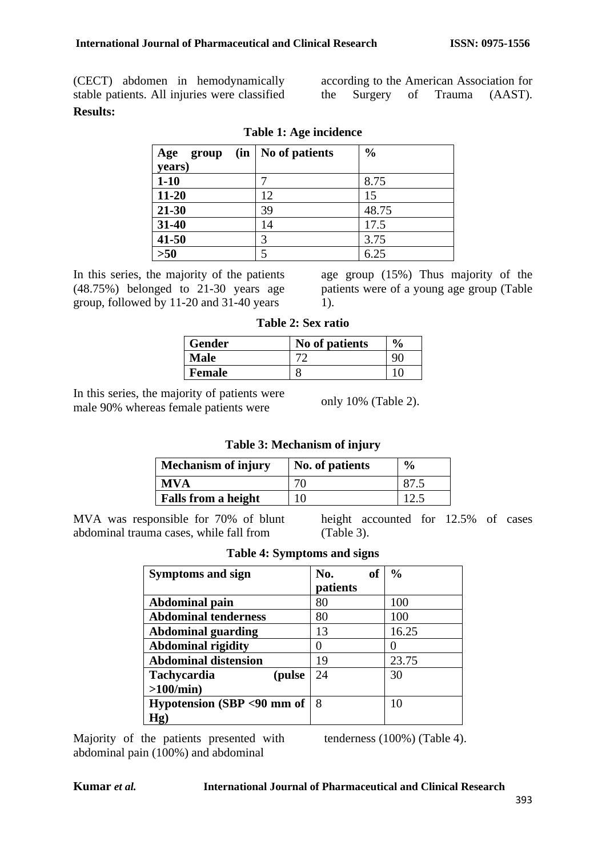(CECT) abdomen in hemodynamically stable patients. All injuries were classified **Results:**

| (in<br>Age<br>group | No of patients | $\frac{0}{0}$ |  |  |  |
|---------------------|----------------|---------------|--|--|--|
| years)              |                |               |  |  |  |
| $1-10$              |                | 8.75          |  |  |  |
| $11 - 20$           | 12             | 15            |  |  |  |
| 21-30               | 39             | 48.75         |  |  |  |
| 31-40               | 14             | 17.5          |  |  |  |
| $41 - 50$           | 3              | 3.75          |  |  |  |
| $>50$               | 5              | 6.25          |  |  |  |

#### **Table 1: Age incidence**

In this series, the majority of the patients (48.75%) belonged to 21-30 years age group, followed by 11-20 and 31-40 years

age group (15%) Thus majority of the patients were of a young age group (Table 1).

**Table 2: Sex ratio**

| <b>Gender</b> | No of patients | $\frac{6}{9}$ |
|---------------|----------------|---------------|
| Male          |                |               |
| Female        |                |               |

In this series, the majority of patients were male 90% whereas female patients were

only 10% (Table 2).

#### **Table 3: Mechanism of injury**

| <b>Mechanism of injury</b> | No. of patients | $\frac{6}{9}$ |
|----------------------------|-----------------|---------------|
| <b>MVA</b>                 |                 |               |
| <b>Falls from a height</b> |                 |               |

MVA was responsible for 70% of blunt abdominal trauma cases, while fall from

height accounted for 12.5% of cases (Table 3).

| Symptoms and sign            | <b>of</b><br>No. | $\frac{0}{0}$ |
|------------------------------|------------------|---------------|
|                              | patients         |               |
| <b>Abdominal pain</b>        | 80               | 100           |
| <b>Abdominal tenderness</b>  | 80               | 100           |
| <b>Abdominal guarding</b>    | 13               | 16.25         |
| <b>Abdominal rigidity</b>    |                  |               |
| <b>Abdominal distension</b>  | 19               | 23.75         |
| <b>Tachycardia</b><br>(pulse | 24               | 30            |
| >100/min                     |                  |               |
| Hypotension (SBP <90 mm of   | 8                | 10            |
| Hg)                          |                  |               |

**Table 4: Symptoms and signs**

Majority of the patients presented with abdominal pain (100%) and abdominal

tenderness (100%) (Table 4).

according to the American Association for the Surgery of Trauma (AAST).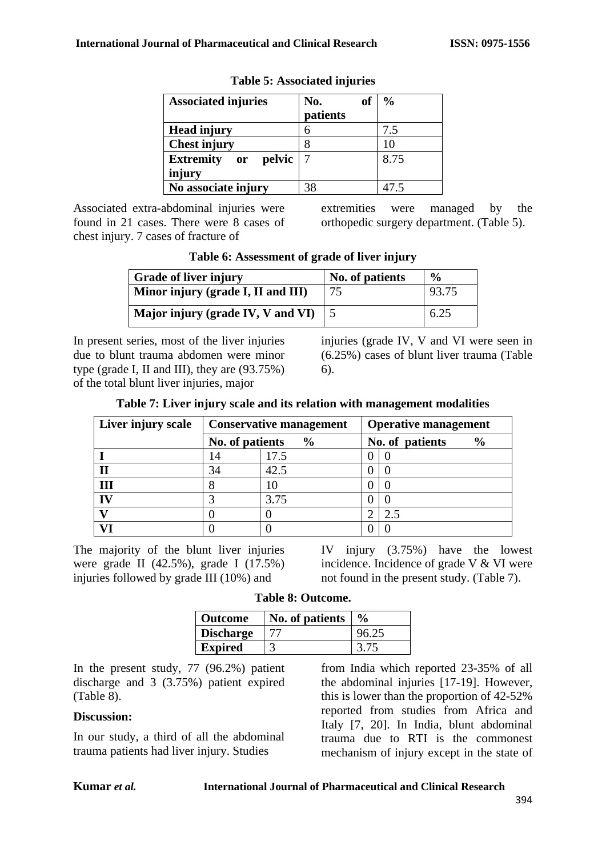| <b>Associated injuries</b>                  | No.<br><b>of</b><br>patients | $\frac{6}{9}$ |
|---------------------------------------------|------------------------------|---------------|
| <b>Head injury</b>                          | 6                            | 7.5           |
| <b>Chest injury</b>                         |                              | 10            |
| <b>Extremity</b><br>pelvic<br>$\mathbf{or}$ | 7                            | 8.75          |
| injury                                      |                              |               |
| No associate injury                         |                              | 47.5          |

#### **Table 5: Associated injuries**

Associated extra-abdominal injuries were found in 21 cases. There were 8 cases of chest injury. 7 cases of fracture of

extremities were managed by the orthopedic surgery department. (Table 5).

| <b>Grade of liver injury</b>       | No. of patients | $\frac{0}{0}$ |
|------------------------------------|-----------------|---------------|
| Minor injury (grade I, II and III) | 75              | 93.75         |
| Major injury (grade IV, V and VI)  |                 | 6.25          |

**Table 6: Assessment of grade of liver injury**

In present series, most of the liver injuries due to blunt trauma abdomen were minor type (grade I, II and III), they are (93.75%) of the total blunt liver injuries, major

injuries (grade IV, V and VI were seen in (6.25%) cases of blunt liver trauma (Table 6).

|  | Table 7: Liver injury scale and its relation with management modalities |  |
|--|-------------------------------------------------------------------------|--|
|  |                                                                         |  |

| Liver injury scale | <b>Conservative management</b> |               | <b>Operative management</b>      |  |
|--------------------|--------------------------------|---------------|----------------------------------|--|
|                    | No. of patients                | $\frac{6}{6}$ | No. of patients<br>$\frac{6}{9}$ |  |
|                    | 14                             | 17.5          |                                  |  |
|                    | 34                             | 42.5          |                                  |  |
| Ш                  |                                |               |                                  |  |
| IV                 |                                | 3.75          |                                  |  |
|                    |                                |               | 2.5                              |  |
|                    |                                |               |                                  |  |

The majority of the blunt liver injuries were grade II (42.5%), grade I (17.5%) injuries followed by grade III (10%) and

IV injury (3.75%) have the lowest incidence. Incidence of grade V & VI were not found in the present study. (Table 7).

| <b>Outcome</b>   | No. of patients | $\frac{6}{9}$ |
|------------------|-----------------|---------------|
| <b>Discharge</b> |                 | 96.25         |
| <b>Expired</b>   |                 |               |

In the present study, 77 (96.2%) patient discharge and 3 (3.75%) patient expired (Table 8).

#### **Discussion:**

In our study, a third of all the abdominal trauma patients had liver injury. Studies

from India which reported 23-35% of all the abdominal injuries [17-19]. However, this is lower than the proportion of 42-52% reported from studies from Africa and Italy [7, 20]. In India, blunt abdominal trauma due to RTI is the commonest mechanism of injury except in the state of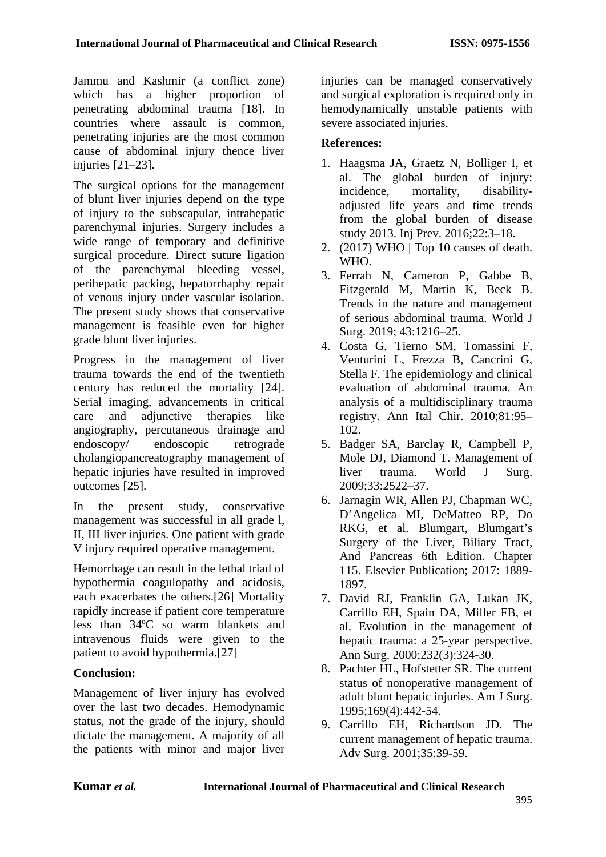Jammu and Kashmir (a conflict zone) which has a higher proportion of penetrating abdominal trauma [18]. In countries where assault is common, penetrating injuries are the most common cause of abdominal injury thence liver injuries [21–23].

The surgical options for the management of blunt liver injuries depend on the type of injury to the subscapular, intrahepatic parenchymal injuries. Surgery includes a wide range of temporary and definitive surgical procedure. Direct suture ligation of the parenchymal bleeding vessel, perihepatic packing, hepatorrhaphy repair of venous injury under vascular isolation. The present study shows that conservative management is feasible even for higher grade blunt liver injuries.

Progress in the management of liver trauma towards the end of the twentieth century has reduced the mortality [24]. Serial imaging, advancements in critical care and adjunctive therapies like angiography, percutaneous drainage and endoscopy/ endoscopic retrograde cholangiopancreatography management of hepatic injuries have resulted in improved outcomes [25].

In the present study, conservative management was successful in all grade l, II, III liver injuries. One patient with grade V injury required operative management.

Hemorrhage can result in the lethal triad of hypothermia coagulopathy and acidosis, each exacerbates the others.[26] Mortality rapidly increase if patient core temperature less than 34ºC so warm blankets and intravenous fluids were given to the patient to avoid hypothermia.[27]

## **Conclusion:**

Management of liver injury has evolved over the last two decades. Hemodynamic status, not the grade of the injury, should dictate the management. A majority of all the patients with minor and major liver injuries can be managed conservatively and surgical exploration is required only in hemodynamically unstable patients with severe associated injuries.

## **References:**

- 1. Haagsma JA, Graetz N, Bolliger I, et al. The global burden of injury: incidence, mortality, disabilityadjusted life years and time trends from the global burden of disease study 2013. Inj Prev. 2016;22:3–18.
- 2. (2017) WHO | Top 10 causes of death. WHO.
- 3. Ferrah N, Cameron P, Gabbe B, Fitzgerald M, Martin K, Beck B. Trends in the nature and management of serious abdominal trauma. World J Surg. 2019; 43:1216–25.
- 4. Costa G, Tierno SM, Tomassini F, Venturini L, Frezza B, Cancrini G, Stella F. The epidemiology and clinical evaluation of abdominal trauma. An analysis of a multidisciplinary trauma registry. Ann Ital Chir. 2010;81:95– 102.
- 5. Badger SA, Barclay R, Campbell P, Mole DJ, Diamond T. Management of liver trauma. World J Surg. 2009;33:2522–37.
- 6. Jarnagin WR, Allen PJ, Chapman WC, D'Angelica MI, DeMatteo RP, Do RKG, et al. Blumgart, Blumgart's Surgery of the Liver, Biliary Tract, And Pancreas 6th Edition. Chapter 115. Elsevier Publication; 2017: 1889- 1897.
- 7. David RJ, Franklin GA, Lukan JK, Carrillo EH, Spain DA, Miller FB, et al. Evolution in the management of hepatic trauma: a 25-year perspective. Ann Surg. 2000;232(3):324-30.
- 8. Pachter HL, Hofstetter SR. The current status of nonoperative management of adult blunt hepatic injuries. Am J Surg. 1995;169(4):442-54.
- 9. Carrillo EH, Richardson JD. The current management of hepatic trauma. Adv Surg. 2001;35:39-59.